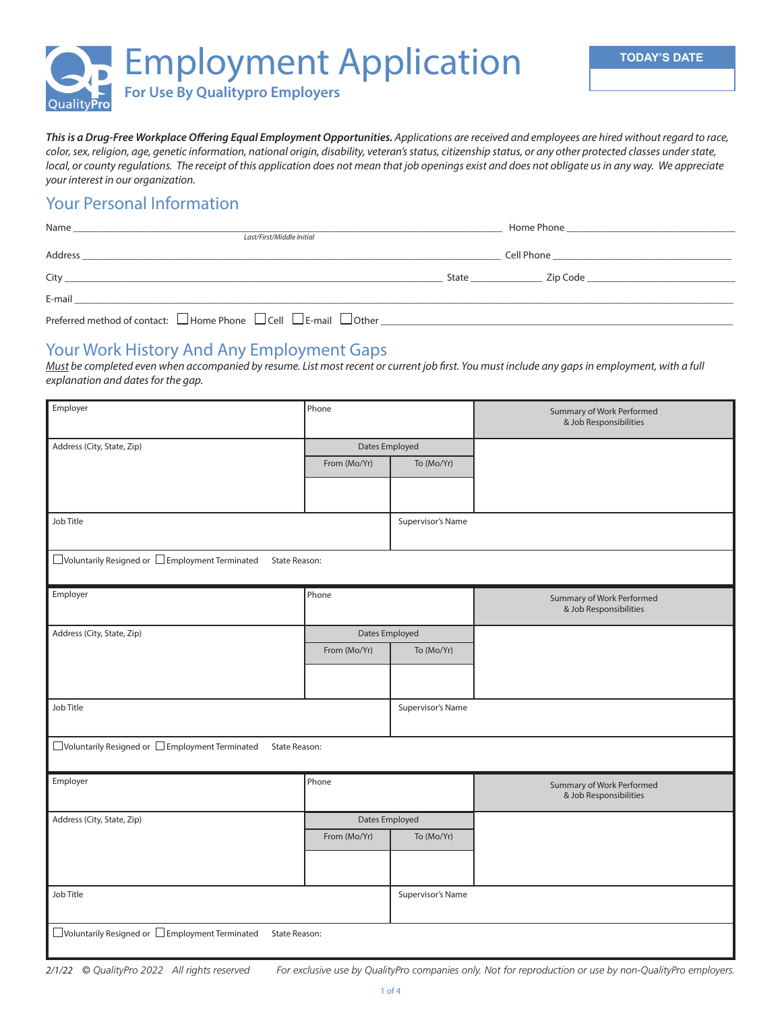

*This is a Drug-Free Workplace Offering Equal Employment Opportunities. Applications are received and employees are hired without regard to race, color, sex, religion, age, genetic information, national origin, disability, veteran's status, citizenship status, or any other protected classes under state, local, or county regulations. The receipt of this application does not mean that job openings exist and does not obligate us in any way. We appreciate your interest in our organization.*

### Your Personal Information

| Last/First/Middle Initial                                                                                                                                                                                                            |                                                                                                                                                                                                                                      |                                    |
|--------------------------------------------------------------------------------------------------------------------------------------------------------------------------------------------------------------------------------------|--------------------------------------------------------------------------------------------------------------------------------------------------------------------------------------------------------------------------------------|------------------------------------|
|                                                                                                                                                                                                                                      | Cell Phone <b>Contract Contract Contract Contract Contract Contract Contract Contract Contract Contract Contract Contract Contract Contract Contract Contract Contract Contract Contract Contract Contract Contract Contract Con</b> |                                    |
| City <u>the contract of the contract of the contract of the contract of the contract of the contract of the contract of the contract of the contract of the contract of the contract of the contract of the contract of the cont</u> | State _______________                                                                                                                                                                                                                | Zip Code _________________________ |
|                                                                                                                                                                                                                                      |                                                                                                                                                                                                                                      |                                    |
| Preferred method of contact: $\Box$ Home Phone $\Box$ Cell $\Box$ E-mail $\Box$ Other                                                                                                                                                |                                                                                                                                                                                                                                      |                                    |

#### Your Work History And Any Employment Gaps

*Must be completed even when accompanied by resume. List most recent or current job first. You must include any gaps in employment, with a full explanation and dates for the gap.* 

| Employer                                                                     | Phone          |                   | Summary of Work Performed<br>& Job Responsibilities |
|------------------------------------------------------------------------------|----------------|-------------------|-----------------------------------------------------|
| Address (City, State, Zip)                                                   | Dates Employed |                   |                                                     |
|                                                                              | From (Mo/Yr)   | To (Mo/Yr)        |                                                     |
|                                                                              |                |                   |                                                     |
|                                                                              |                |                   |                                                     |
| Job Title                                                                    |                | Supervisor's Name |                                                     |
|                                                                              |                |                   |                                                     |
| □ Voluntarily Resigned or □ Employment Terminated<br>State Reason:           |                |                   |                                                     |
| Employer                                                                     | Phone          |                   | Summary of Work Performed                           |
|                                                                              |                |                   | & Job Responsibilities                              |
| Address (City, State, Zip)                                                   | Dates Employed |                   |                                                     |
|                                                                              | From (Mo/Yr)   | To (Mo/Yr)        |                                                     |
|                                                                              |                |                   |                                                     |
|                                                                              |                |                   |                                                     |
| Job Title                                                                    |                | Supervisor's Name |                                                     |
|                                                                              |                |                   |                                                     |
| $\Box$ Voluntarily Resigned or $\Box$ Employment Terminated<br>State Reason: |                |                   |                                                     |
| Employer                                                                     | Phone          |                   | Summary of Work Performed                           |
|                                                                              |                |                   | & Job Responsibilities                              |
| Address (City, State, Zip)                                                   | Dates Employed |                   |                                                     |
|                                                                              | From (Mo/Yr)   | To (Mo/Yr)        |                                                     |
|                                                                              |                |                   |                                                     |
|                                                                              |                |                   |                                                     |
| Job Title                                                                    |                | Supervisor's Name |                                                     |
| $\Box$ Voluntarily Resigned or $\Box$ Employment Terminated<br>State Reason: |                |                   |                                                     |

*2/1/22 © QualityPro 2022 All rights reserved For exclusive use by QualityPro companies only. Not for reproduction or use by non-QualityPro employers.*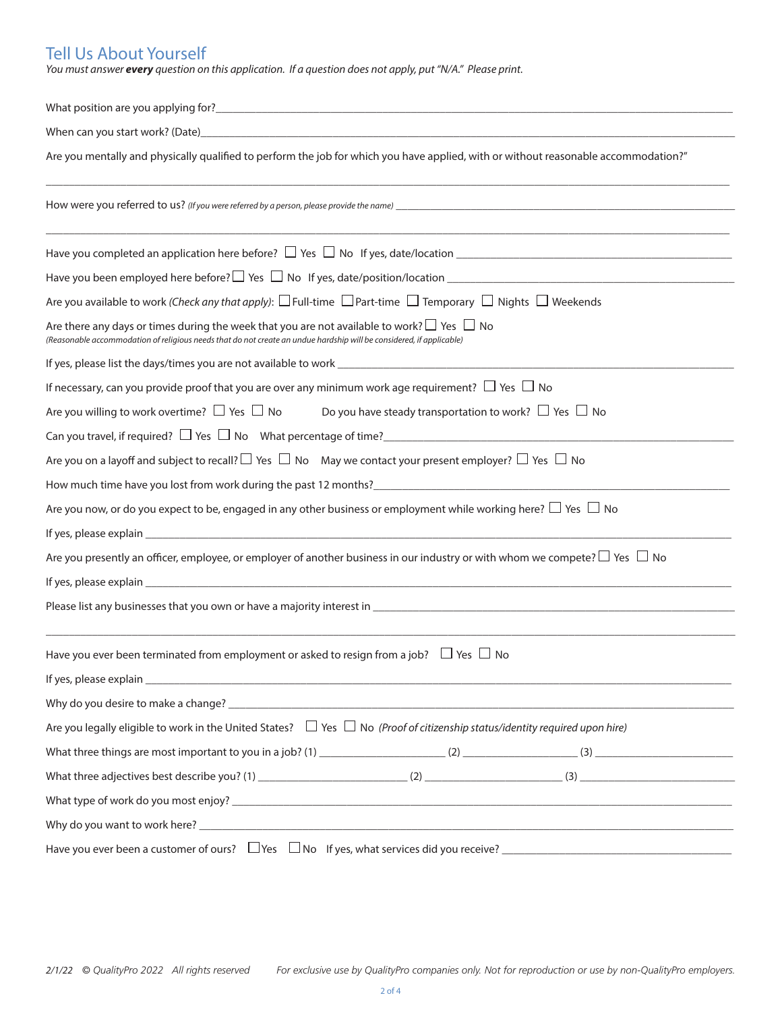# Tell Us About Yourself

*You must answer every question on this application. If a question does not apply, put "N/A." Please print.*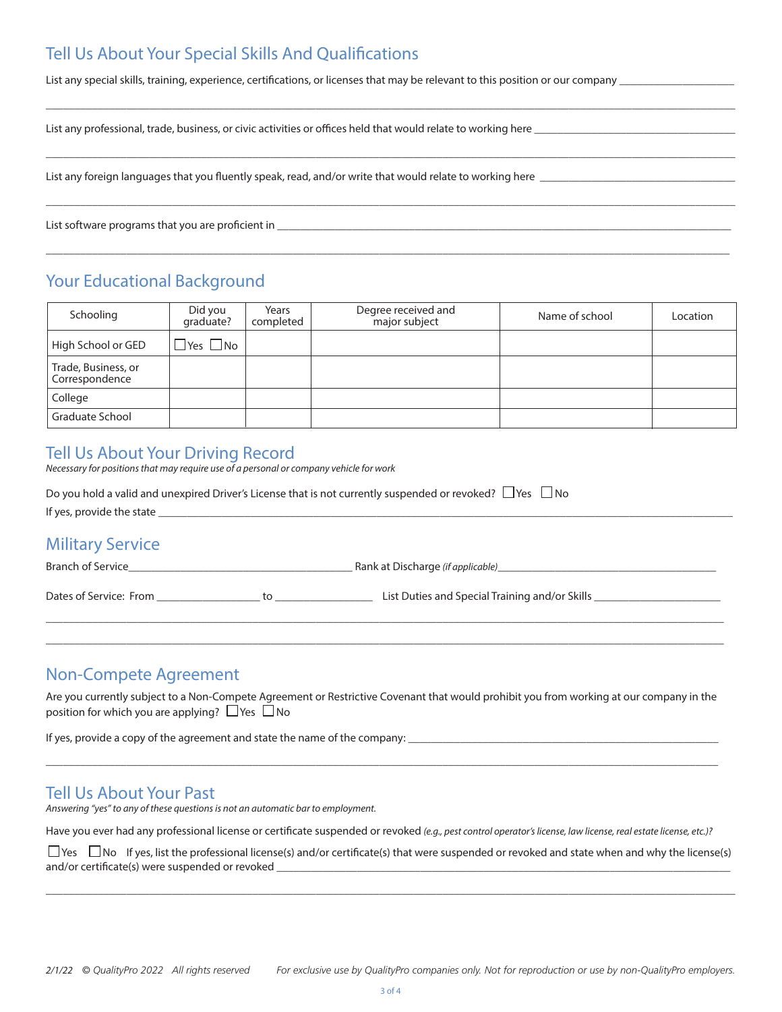## Tell Us About Your Special Skills And Qualifications

List any special skills, training, experience, certifications, or licenses that may be relevant to this position or our company

 $\Box \Box \Box \Box \Box \Box \Box$  . The contribution of the contribution of the contribution of the contribution of the contribution of the contribution of the contribution of the contribution of the contribution of the contribution of th

\_\_\_\_\_\_\_\_\_\_\_\_\_\_\_\_\_\_\_\_\_\_\_\_\_\_\_\_\_\_\_\_\_\_\_\_\_\_\_\_\_\_\_\_\_\_\_\_\_\_\_\_\_\_\_\_\_\_\_\_\_\_\_\_\_\_\_\_\_\_\_\_\_\_\_\_\_\_\_\_\_\_\_\_\_\_\_\_\_\_\_\_\_\_\_\_\_\_\_\_\_\_\_\_\_\_\_\_\_\_\_\_\_\_\_\_\_\_\_\_

\_\_\_\_\_\_\_\_\_\_\_\_\_\_\_\_\_\_\_\_\_\_\_\_\_\_\_\_\_\_\_\_\_\_\_\_\_\_\_\_\_\_\_\_\_\_\_\_\_\_\_\_\_\_\_\_\_\_\_\_\_\_\_\_\_\_\_\_\_\_\_\_\_\_\_\_\_\_\_\_\_\_\_\_\_\_\_\_\_\_\_\_\_\_\_\_\_\_\_\_\_\_\_\_\_\_\_\_\_\_\_\_\_\_\_\_\_\_\_\_

 $\Box$  . The contribution of the contribution of the contribution of the contribution of the contribution of the contribution of the contribution of the contribution of the contribution of the contribution of the contributi

List any professional, trade, business, or civic activities or offices held that would relate to working here

List any foreign languages that you fluently speak, read, and/or write that would relate to working here \_\_\_\_\_

List software programs that you are proficient in \_\_\_\_\_\_\_\_\_\_\_\_\_\_\_\_\_\_\_\_\_\_\_\_\_\_\_\_\_\_

### Your Educational Background

| Schooling                             | Did you<br>qraduate?    | Years<br>completed | Degree received and<br>major subject | Name of school | Location |
|---------------------------------------|-------------------------|--------------------|--------------------------------------|----------------|----------|
| High School or GED                    | $\exists$ Yes $\Box$ No |                    |                                      |                |          |
| Trade, Business, or<br>Correspondence |                         |                    |                                      |                |          |
| College                               |                         |                    |                                      |                |          |
| Graduate School                       |                         |                    |                                      |                |          |

### Tell Us About Your Driving Record

*Necessary for positions that may require use of a personal or company vehicle for work*

| Do you hold a valid and unexpired Driver's License that is not currently suspended or revoked? $\Box$ Yes $\Box$ No |                                                                                                                                                                                                                                       |  |  |  |
|---------------------------------------------------------------------------------------------------------------------|---------------------------------------------------------------------------------------------------------------------------------------------------------------------------------------------------------------------------------------|--|--|--|
|                                                                                                                     | If yes, provide the state experience of the state of the state of the state of the state of the state of the state of the state of the state of the state of the state of the state of the state of the state of the state of         |  |  |  |
| <b>Military Service</b>                                                                                             |                                                                                                                                                                                                                                       |  |  |  |
| <b>Branch of Service Example 2018</b>                                                                               | Rank at Discharge ( <i>if applicable</i> ) example to the contract of the contract of the contract of the contract of the contract of the contract of the contract of the contract of the contract of the contract of the contract of |  |  |  |
|                                                                                                                     | List Duties and Special Training and/or Skills _________________________________                                                                                                                                                      |  |  |  |
|                                                                                                                     |                                                                                                                                                                                                                                       |  |  |  |

#### Non-Compete Agreement

Are you currently subject to a Non-Compete Agreement or Restrictive Covenant that would prohibit you from working at our company in the position for which you are applying?  $\Box$  Yes  $\Box$  No

 $\Box$  . The contribution of the contribution of the contribution of the contribution of the contribution of the contribution of the contribution of the contribution of the contribution of the contribution of the contributi

If yes, provide a copy of the agreement and state the name of the company: \_

#### Tell Us About Your Past

*Answering "yes" to any of these questions is not an automatic bar to employment.*

Have you ever had any professional license or certificate suspended or revoked *(e.g., pest control operator's license, law license, real estate license, etc.)?* 

 $\Box$  Yes  $\Box$  No If yes, list the professional license(s) and/or certificate(s) that were suspended or revoked and state when and why the license(s) and/or certificate(s) were suspended or revoked

 $\Box$  . The contribution of the contribution of the contribution of the contribution of the contribution of the contribution of the contribution of the contribution of the contribution of the contribution of the contributi